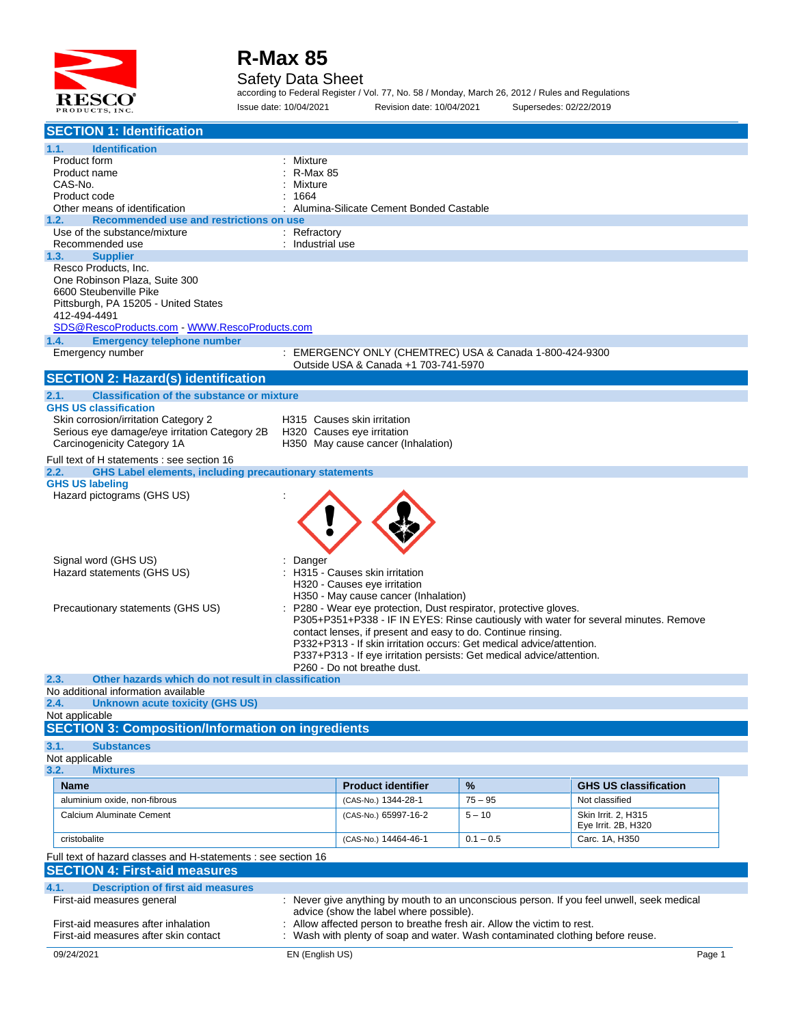

#### Safety Data Sheet

according to Federal Register / Vol. 77, No. 58 / Monday, March 26, 2012 / Rules and Regulations Issue date: 10/04/2021 Revision date: 10/04/2021 Supersedes: 02/22/2019

| <b>Identification</b><br>Product form<br>: Mixture<br><b>R-Max 85</b><br>Product name<br>CAS-No.<br>Mixture<br>Product code<br>1664<br>Other means of identification<br>Alumina-Silicate Cement Bonded Castable<br>Recommended use and restrictions on use<br>1.2.<br>: Refractory<br>Use of the substance/mixture<br>: Industrial use<br>Recommended use<br>1.3.<br><b>Supplier</b><br>Resco Products, Inc.<br>One Robinson Plaza, Suite 300<br>6600 Steubenville Pike<br>Pittsburgh, PA 15205 - United States<br>412-494-4491<br>SDS@RescoProducts.com WWW.RescoProducts.com<br><b>Emergency telephone number</b><br>1.4.<br>EMERGENCY ONLY (CHEMTREC) USA & Canada 1-800-424-9300<br>Emergency number<br>÷<br>Outside USA & Canada +1 703-741-5970<br><b>Classification of the substance or mixture</b><br><b>GHS US classification</b><br>Skin corrosion/irritation Category 2<br>H315 Causes skin irritation<br>Serious eye damage/eye irritation Category 2B<br>H320 Causes eye irritation<br>Carcinogenicity Category 1A<br>H350 May cause cancer (Inhalation)<br>Full text of H statements : see section 16<br><b>GHS Label elements, including precautionary statements</b><br>2.2.<br><b>GHS US labeling</b><br>Hazard pictograms (GHS US)<br>Signal word (GHS US)<br>Danger<br>H315 - Causes skin irritation<br>Hazard statements (GHS US)<br>H320 - Causes eye irritation<br>H350 - May cause cancer (Inhalation)<br>P280 - Wear eye protection, Dust respirator, protective gloves.<br>Precautionary statements (GHS US)<br>P305+P351+P338 - IF IN EYES: Rinse cautiously with water for several minutes. Remove<br>contact lenses, if present and easy to do. Continue rinsing.<br>P332+P313 - If skin irritation occurs: Get medical advice/attention.<br>P337+P313 - If eye irritation persists: Get medical advice/attention.<br>P260 - Do not breathe dust.<br>Other hazards which do not result in classification<br>No additional information available<br>2.4. Unknown acute toxicity (GHS US)<br>Not applicable<br><b>SECTION 3: Composition/Information on ingredients</b><br><b>Substances</b><br>3.2.<br><b>Mixtures</b><br><b>Product identifier</b><br>%<br><b>Name</b><br><b>GHS US classification</b><br>aluminium oxide, non-fibrous<br>Not classified<br>(CAS-No.) 1344-28-1<br>$75 - 95$<br>Calcium Aluminate Cement<br>(CAS-No.) 65997-16-2<br>Skin Irrit. 2. H315<br>$5 - 10$<br>Eye Irrit. 2B, H320<br>(CAS-No.) 14464-46-1<br>$0.1 - 0.5$<br>Carc. 1A, H350<br>cristobalite<br>Full text of hazard classes and H-statements : see section 16<br><b>SECTION 4: First-aid measures</b><br><b>Description of first aid measures</b><br>First-aid measures general<br>: Never give anything by mouth to an unconscious person. If you feel unwell, seek medical<br>advice (show the label where possible).<br>First-aid measures after inhalation<br>Allow affected person to breathe fresh air. Allow the victim to rest.<br>Wash with plenty of soap and water. Wash contaminated clothing before reuse.<br>First-aid measures after skin contact<br>09/24/2021<br>EN (English US)<br>Page 1 | <b>SECTION 1: Identification</b>           |  |  |
|--------------------------------------------------------------------------------------------------------------------------------------------------------------------------------------------------------------------------------------------------------------------------------------------------------------------------------------------------------------------------------------------------------------------------------------------------------------------------------------------------------------------------------------------------------------------------------------------------------------------------------------------------------------------------------------------------------------------------------------------------------------------------------------------------------------------------------------------------------------------------------------------------------------------------------------------------------------------------------------------------------------------------------------------------------------------------------------------------------------------------------------------------------------------------------------------------------------------------------------------------------------------------------------------------------------------------------------------------------------------------------------------------------------------------------------------------------------------------------------------------------------------------------------------------------------------------------------------------------------------------------------------------------------------------------------------------------------------------------------------------------------------------------------------------------------------------------------------------------------------------------------------------------------------------------------------------------------------------------------------------------------------------------------------------------------------------------------------------------------------------------------------------------------------------------------------------------------------------------------------------------------------------------------------------------------------------------------------------------------------------------------------------------------------------------------------------------------------------------------------------------------------------------------------------------------------------------------------------------------------------------------------------------------------------------------------------------------------------------------------------------------------------------------------------------------------------------------------------------------------------------------------------------------------------------------------------------------------------------------------------------------------------------------------------------------------------------------------------------------------------------|--------------------------------------------|--|--|
|                                                                                                                                                                                                                                                                                                                                                                                                                                                                                                                                                                                                                                                                                                                                                                                                                                                                                                                                                                                                                                                                                                                                                                                                                                                                                                                                                                                                                                                                                                                                                                                                                                                                                                                                                                                                                                                                                                                                                                                                                                                                                                                                                                                                                                                                                                                                                                                                                                                                                                                                                                                                                                                                                                                                                                                                                                                                                                                                                                                                                                                                                                                                | 1.1.                                       |  |  |
|                                                                                                                                                                                                                                                                                                                                                                                                                                                                                                                                                                                                                                                                                                                                                                                                                                                                                                                                                                                                                                                                                                                                                                                                                                                                                                                                                                                                                                                                                                                                                                                                                                                                                                                                                                                                                                                                                                                                                                                                                                                                                                                                                                                                                                                                                                                                                                                                                                                                                                                                                                                                                                                                                                                                                                                                                                                                                                                                                                                                                                                                                                                                |                                            |  |  |
|                                                                                                                                                                                                                                                                                                                                                                                                                                                                                                                                                                                                                                                                                                                                                                                                                                                                                                                                                                                                                                                                                                                                                                                                                                                                                                                                                                                                                                                                                                                                                                                                                                                                                                                                                                                                                                                                                                                                                                                                                                                                                                                                                                                                                                                                                                                                                                                                                                                                                                                                                                                                                                                                                                                                                                                                                                                                                                                                                                                                                                                                                                                                |                                            |  |  |
|                                                                                                                                                                                                                                                                                                                                                                                                                                                                                                                                                                                                                                                                                                                                                                                                                                                                                                                                                                                                                                                                                                                                                                                                                                                                                                                                                                                                                                                                                                                                                                                                                                                                                                                                                                                                                                                                                                                                                                                                                                                                                                                                                                                                                                                                                                                                                                                                                                                                                                                                                                                                                                                                                                                                                                                                                                                                                                                                                                                                                                                                                                                                |                                            |  |  |
|                                                                                                                                                                                                                                                                                                                                                                                                                                                                                                                                                                                                                                                                                                                                                                                                                                                                                                                                                                                                                                                                                                                                                                                                                                                                                                                                                                                                                                                                                                                                                                                                                                                                                                                                                                                                                                                                                                                                                                                                                                                                                                                                                                                                                                                                                                                                                                                                                                                                                                                                                                                                                                                                                                                                                                                                                                                                                                                                                                                                                                                                                                                                |                                            |  |  |
|                                                                                                                                                                                                                                                                                                                                                                                                                                                                                                                                                                                                                                                                                                                                                                                                                                                                                                                                                                                                                                                                                                                                                                                                                                                                                                                                                                                                                                                                                                                                                                                                                                                                                                                                                                                                                                                                                                                                                                                                                                                                                                                                                                                                                                                                                                                                                                                                                                                                                                                                                                                                                                                                                                                                                                                                                                                                                                                                                                                                                                                                                                                                |                                            |  |  |
|                                                                                                                                                                                                                                                                                                                                                                                                                                                                                                                                                                                                                                                                                                                                                                                                                                                                                                                                                                                                                                                                                                                                                                                                                                                                                                                                                                                                                                                                                                                                                                                                                                                                                                                                                                                                                                                                                                                                                                                                                                                                                                                                                                                                                                                                                                                                                                                                                                                                                                                                                                                                                                                                                                                                                                                                                                                                                                                                                                                                                                                                                                                                |                                            |  |  |
|                                                                                                                                                                                                                                                                                                                                                                                                                                                                                                                                                                                                                                                                                                                                                                                                                                                                                                                                                                                                                                                                                                                                                                                                                                                                                                                                                                                                                                                                                                                                                                                                                                                                                                                                                                                                                                                                                                                                                                                                                                                                                                                                                                                                                                                                                                                                                                                                                                                                                                                                                                                                                                                                                                                                                                                                                                                                                                                                                                                                                                                                                                                                |                                            |  |  |
|                                                                                                                                                                                                                                                                                                                                                                                                                                                                                                                                                                                                                                                                                                                                                                                                                                                                                                                                                                                                                                                                                                                                                                                                                                                                                                                                                                                                                                                                                                                                                                                                                                                                                                                                                                                                                                                                                                                                                                                                                                                                                                                                                                                                                                                                                                                                                                                                                                                                                                                                                                                                                                                                                                                                                                                                                                                                                                                                                                                                                                                                                                                                |                                            |  |  |
|                                                                                                                                                                                                                                                                                                                                                                                                                                                                                                                                                                                                                                                                                                                                                                                                                                                                                                                                                                                                                                                                                                                                                                                                                                                                                                                                                                                                                                                                                                                                                                                                                                                                                                                                                                                                                                                                                                                                                                                                                                                                                                                                                                                                                                                                                                                                                                                                                                                                                                                                                                                                                                                                                                                                                                                                                                                                                                                                                                                                                                                                                                                                |                                            |  |  |
|                                                                                                                                                                                                                                                                                                                                                                                                                                                                                                                                                                                                                                                                                                                                                                                                                                                                                                                                                                                                                                                                                                                                                                                                                                                                                                                                                                                                                                                                                                                                                                                                                                                                                                                                                                                                                                                                                                                                                                                                                                                                                                                                                                                                                                                                                                                                                                                                                                                                                                                                                                                                                                                                                                                                                                                                                                                                                                                                                                                                                                                                                                                                |                                            |  |  |
|                                                                                                                                                                                                                                                                                                                                                                                                                                                                                                                                                                                                                                                                                                                                                                                                                                                                                                                                                                                                                                                                                                                                                                                                                                                                                                                                                                                                                                                                                                                                                                                                                                                                                                                                                                                                                                                                                                                                                                                                                                                                                                                                                                                                                                                                                                                                                                                                                                                                                                                                                                                                                                                                                                                                                                                                                                                                                                                                                                                                                                                                                                                                |                                            |  |  |
|                                                                                                                                                                                                                                                                                                                                                                                                                                                                                                                                                                                                                                                                                                                                                                                                                                                                                                                                                                                                                                                                                                                                                                                                                                                                                                                                                                                                                                                                                                                                                                                                                                                                                                                                                                                                                                                                                                                                                                                                                                                                                                                                                                                                                                                                                                                                                                                                                                                                                                                                                                                                                                                                                                                                                                                                                                                                                                                                                                                                                                                                                                                                |                                            |  |  |
|                                                                                                                                                                                                                                                                                                                                                                                                                                                                                                                                                                                                                                                                                                                                                                                                                                                                                                                                                                                                                                                                                                                                                                                                                                                                                                                                                                                                                                                                                                                                                                                                                                                                                                                                                                                                                                                                                                                                                                                                                                                                                                                                                                                                                                                                                                                                                                                                                                                                                                                                                                                                                                                                                                                                                                                                                                                                                                                                                                                                                                                                                                                                |                                            |  |  |
|                                                                                                                                                                                                                                                                                                                                                                                                                                                                                                                                                                                                                                                                                                                                                                                                                                                                                                                                                                                                                                                                                                                                                                                                                                                                                                                                                                                                                                                                                                                                                                                                                                                                                                                                                                                                                                                                                                                                                                                                                                                                                                                                                                                                                                                                                                                                                                                                                                                                                                                                                                                                                                                                                                                                                                                                                                                                                                                                                                                                                                                                                                                                |                                            |  |  |
|                                                                                                                                                                                                                                                                                                                                                                                                                                                                                                                                                                                                                                                                                                                                                                                                                                                                                                                                                                                                                                                                                                                                                                                                                                                                                                                                                                                                                                                                                                                                                                                                                                                                                                                                                                                                                                                                                                                                                                                                                                                                                                                                                                                                                                                                                                                                                                                                                                                                                                                                                                                                                                                                                                                                                                                                                                                                                                                                                                                                                                                                                                                                | <b>SECTION 2: Hazard(s) identification</b> |  |  |
|                                                                                                                                                                                                                                                                                                                                                                                                                                                                                                                                                                                                                                                                                                                                                                                                                                                                                                                                                                                                                                                                                                                                                                                                                                                                                                                                                                                                                                                                                                                                                                                                                                                                                                                                                                                                                                                                                                                                                                                                                                                                                                                                                                                                                                                                                                                                                                                                                                                                                                                                                                                                                                                                                                                                                                                                                                                                                                                                                                                                                                                                                                                                | 2.1.                                       |  |  |
|                                                                                                                                                                                                                                                                                                                                                                                                                                                                                                                                                                                                                                                                                                                                                                                                                                                                                                                                                                                                                                                                                                                                                                                                                                                                                                                                                                                                                                                                                                                                                                                                                                                                                                                                                                                                                                                                                                                                                                                                                                                                                                                                                                                                                                                                                                                                                                                                                                                                                                                                                                                                                                                                                                                                                                                                                                                                                                                                                                                                                                                                                                                                |                                            |  |  |
|                                                                                                                                                                                                                                                                                                                                                                                                                                                                                                                                                                                                                                                                                                                                                                                                                                                                                                                                                                                                                                                                                                                                                                                                                                                                                                                                                                                                                                                                                                                                                                                                                                                                                                                                                                                                                                                                                                                                                                                                                                                                                                                                                                                                                                                                                                                                                                                                                                                                                                                                                                                                                                                                                                                                                                                                                                                                                                                                                                                                                                                                                                                                |                                            |  |  |
|                                                                                                                                                                                                                                                                                                                                                                                                                                                                                                                                                                                                                                                                                                                                                                                                                                                                                                                                                                                                                                                                                                                                                                                                                                                                                                                                                                                                                                                                                                                                                                                                                                                                                                                                                                                                                                                                                                                                                                                                                                                                                                                                                                                                                                                                                                                                                                                                                                                                                                                                                                                                                                                                                                                                                                                                                                                                                                                                                                                                                                                                                                                                |                                            |  |  |
|                                                                                                                                                                                                                                                                                                                                                                                                                                                                                                                                                                                                                                                                                                                                                                                                                                                                                                                                                                                                                                                                                                                                                                                                                                                                                                                                                                                                                                                                                                                                                                                                                                                                                                                                                                                                                                                                                                                                                                                                                                                                                                                                                                                                                                                                                                                                                                                                                                                                                                                                                                                                                                                                                                                                                                                                                                                                                                                                                                                                                                                                                                                                |                                            |  |  |
|                                                                                                                                                                                                                                                                                                                                                                                                                                                                                                                                                                                                                                                                                                                                                                                                                                                                                                                                                                                                                                                                                                                                                                                                                                                                                                                                                                                                                                                                                                                                                                                                                                                                                                                                                                                                                                                                                                                                                                                                                                                                                                                                                                                                                                                                                                                                                                                                                                                                                                                                                                                                                                                                                                                                                                                                                                                                                                                                                                                                                                                                                                                                |                                            |  |  |
|                                                                                                                                                                                                                                                                                                                                                                                                                                                                                                                                                                                                                                                                                                                                                                                                                                                                                                                                                                                                                                                                                                                                                                                                                                                                                                                                                                                                                                                                                                                                                                                                                                                                                                                                                                                                                                                                                                                                                                                                                                                                                                                                                                                                                                                                                                                                                                                                                                                                                                                                                                                                                                                                                                                                                                                                                                                                                                                                                                                                                                                                                                                                |                                            |  |  |
|                                                                                                                                                                                                                                                                                                                                                                                                                                                                                                                                                                                                                                                                                                                                                                                                                                                                                                                                                                                                                                                                                                                                                                                                                                                                                                                                                                                                                                                                                                                                                                                                                                                                                                                                                                                                                                                                                                                                                                                                                                                                                                                                                                                                                                                                                                                                                                                                                                                                                                                                                                                                                                                                                                                                                                                                                                                                                                                                                                                                                                                                                                                                |                                            |  |  |
|                                                                                                                                                                                                                                                                                                                                                                                                                                                                                                                                                                                                                                                                                                                                                                                                                                                                                                                                                                                                                                                                                                                                                                                                                                                                                                                                                                                                                                                                                                                                                                                                                                                                                                                                                                                                                                                                                                                                                                                                                                                                                                                                                                                                                                                                                                                                                                                                                                                                                                                                                                                                                                                                                                                                                                                                                                                                                                                                                                                                                                                                                                                                |                                            |  |  |
|                                                                                                                                                                                                                                                                                                                                                                                                                                                                                                                                                                                                                                                                                                                                                                                                                                                                                                                                                                                                                                                                                                                                                                                                                                                                                                                                                                                                                                                                                                                                                                                                                                                                                                                                                                                                                                                                                                                                                                                                                                                                                                                                                                                                                                                                                                                                                                                                                                                                                                                                                                                                                                                                                                                                                                                                                                                                                                                                                                                                                                                                                                                                |                                            |  |  |
|                                                                                                                                                                                                                                                                                                                                                                                                                                                                                                                                                                                                                                                                                                                                                                                                                                                                                                                                                                                                                                                                                                                                                                                                                                                                                                                                                                                                                                                                                                                                                                                                                                                                                                                                                                                                                                                                                                                                                                                                                                                                                                                                                                                                                                                                                                                                                                                                                                                                                                                                                                                                                                                                                                                                                                                                                                                                                                                                                                                                                                                                                                                                |                                            |  |  |
|                                                                                                                                                                                                                                                                                                                                                                                                                                                                                                                                                                                                                                                                                                                                                                                                                                                                                                                                                                                                                                                                                                                                                                                                                                                                                                                                                                                                                                                                                                                                                                                                                                                                                                                                                                                                                                                                                                                                                                                                                                                                                                                                                                                                                                                                                                                                                                                                                                                                                                                                                                                                                                                                                                                                                                                                                                                                                                                                                                                                                                                                                                                                |                                            |  |  |
|                                                                                                                                                                                                                                                                                                                                                                                                                                                                                                                                                                                                                                                                                                                                                                                                                                                                                                                                                                                                                                                                                                                                                                                                                                                                                                                                                                                                                                                                                                                                                                                                                                                                                                                                                                                                                                                                                                                                                                                                                                                                                                                                                                                                                                                                                                                                                                                                                                                                                                                                                                                                                                                                                                                                                                                                                                                                                                                                                                                                                                                                                                                                |                                            |  |  |
|                                                                                                                                                                                                                                                                                                                                                                                                                                                                                                                                                                                                                                                                                                                                                                                                                                                                                                                                                                                                                                                                                                                                                                                                                                                                                                                                                                                                                                                                                                                                                                                                                                                                                                                                                                                                                                                                                                                                                                                                                                                                                                                                                                                                                                                                                                                                                                                                                                                                                                                                                                                                                                                                                                                                                                                                                                                                                                                                                                                                                                                                                                                                |                                            |  |  |
|                                                                                                                                                                                                                                                                                                                                                                                                                                                                                                                                                                                                                                                                                                                                                                                                                                                                                                                                                                                                                                                                                                                                                                                                                                                                                                                                                                                                                                                                                                                                                                                                                                                                                                                                                                                                                                                                                                                                                                                                                                                                                                                                                                                                                                                                                                                                                                                                                                                                                                                                                                                                                                                                                                                                                                                                                                                                                                                                                                                                                                                                                                                                |                                            |  |  |
|                                                                                                                                                                                                                                                                                                                                                                                                                                                                                                                                                                                                                                                                                                                                                                                                                                                                                                                                                                                                                                                                                                                                                                                                                                                                                                                                                                                                                                                                                                                                                                                                                                                                                                                                                                                                                                                                                                                                                                                                                                                                                                                                                                                                                                                                                                                                                                                                                                                                                                                                                                                                                                                                                                                                                                                                                                                                                                                                                                                                                                                                                                                                |                                            |  |  |
|                                                                                                                                                                                                                                                                                                                                                                                                                                                                                                                                                                                                                                                                                                                                                                                                                                                                                                                                                                                                                                                                                                                                                                                                                                                                                                                                                                                                                                                                                                                                                                                                                                                                                                                                                                                                                                                                                                                                                                                                                                                                                                                                                                                                                                                                                                                                                                                                                                                                                                                                                                                                                                                                                                                                                                                                                                                                                                                                                                                                                                                                                                                                |                                            |  |  |
|                                                                                                                                                                                                                                                                                                                                                                                                                                                                                                                                                                                                                                                                                                                                                                                                                                                                                                                                                                                                                                                                                                                                                                                                                                                                                                                                                                                                                                                                                                                                                                                                                                                                                                                                                                                                                                                                                                                                                                                                                                                                                                                                                                                                                                                                                                                                                                                                                                                                                                                                                                                                                                                                                                                                                                                                                                                                                                                                                                                                                                                                                                                                |                                            |  |  |
|                                                                                                                                                                                                                                                                                                                                                                                                                                                                                                                                                                                                                                                                                                                                                                                                                                                                                                                                                                                                                                                                                                                                                                                                                                                                                                                                                                                                                                                                                                                                                                                                                                                                                                                                                                                                                                                                                                                                                                                                                                                                                                                                                                                                                                                                                                                                                                                                                                                                                                                                                                                                                                                                                                                                                                                                                                                                                                                                                                                                                                                                                                                                | 2.3.                                       |  |  |
|                                                                                                                                                                                                                                                                                                                                                                                                                                                                                                                                                                                                                                                                                                                                                                                                                                                                                                                                                                                                                                                                                                                                                                                                                                                                                                                                                                                                                                                                                                                                                                                                                                                                                                                                                                                                                                                                                                                                                                                                                                                                                                                                                                                                                                                                                                                                                                                                                                                                                                                                                                                                                                                                                                                                                                                                                                                                                                                                                                                                                                                                                                                                |                                            |  |  |
|                                                                                                                                                                                                                                                                                                                                                                                                                                                                                                                                                                                                                                                                                                                                                                                                                                                                                                                                                                                                                                                                                                                                                                                                                                                                                                                                                                                                                                                                                                                                                                                                                                                                                                                                                                                                                                                                                                                                                                                                                                                                                                                                                                                                                                                                                                                                                                                                                                                                                                                                                                                                                                                                                                                                                                                                                                                                                                                                                                                                                                                                                                                                |                                            |  |  |
|                                                                                                                                                                                                                                                                                                                                                                                                                                                                                                                                                                                                                                                                                                                                                                                                                                                                                                                                                                                                                                                                                                                                                                                                                                                                                                                                                                                                                                                                                                                                                                                                                                                                                                                                                                                                                                                                                                                                                                                                                                                                                                                                                                                                                                                                                                                                                                                                                                                                                                                                                                                                                                                                                                                                                                                                                                                                                                                                                                                                                                                                                                                                |                                            |  |  |
|                                                                                                                                                                                                                                                                                                                                                                                                                                                                                                                                                                                                                                                                                                                                                                                                                                                                                                                                                                                                                                                                                                                                                                                                                                                                                                                                                                                                                                                                                                                                                                                                                                                                                                                                                                                                                                                                                                                                                                                                                                                                                                                                                                                                                                                                                                                                                                                                                                                                                                                                                                                                                                                                                                                                                                                                                                                                                                                                                                                                                                                                                                                                | 3.1.                                       |  |  |
|                                                                                                                                                                                                                                                                                                                                                                                                                                                                                                                                                                                                                                                                                                                                                                                                                                                                                                                                                                                                                                                                                                                                                                                                                                                                                                                                                                                                                                                                                                                                                                                                                                                                                                                                                                                                                                                                                                                                                                                                                                                                                                                                                                                                                                                                                                                                                                                                                                                                                                                                                                                                                                                                                                                                                                                                                                                                                                                                                                                                                                                                                                                                | Not applicable                             |  |  |
|                                                                                                                                                                                                                                                                                                                                                                                                                                                                                                                                                                                                                                                                                                                                                                                                                                                                                                                                                                                                                                                                                                                                                                                                                                                                                                                                                                                                                                                                                                                                                                                                                                                                                                                                                                                                                                                                                                                                                                                                                                                                                                                                                                                                                                                                                                                                                                                                                                                                                                                                                                                                                                                                                                                                                                                                                                                                                                                                                                                                                                                                                                                                |                                            |  |  |
|                                                                                                                                                                                                                                                                                                                                                                                                                                                                                                                                                                                                                                                                                                                                                                                                                                                                                                                                                                                                                                                                                                                                                                                                                                                                                                                                                                                                                                                                                                                                                                                                                                                                                                                                                                                                                                                                                                                                                                                                                                                                                                                                                                                                                                                                                                                                                                                                                                                                                                                                                                                                                                                                                                                                                                                                                                                                                                                                                                                                                                                                                                                                |                                            |  |  |
|                                                                                                                                                                                                                                                                                                                                                                                                                                                                                                                                                                                                                                                                                                                                                                                                                                                                                                                                                                                                                                                                                                                                                                                                                                                                                                                                                                                                                                                                                                                                                                                                                                                                                                                                                                                                                                                                                                                                                                                                                                                                                                                                                                                                                                                                                                                                                                                                                                                                                                                                                                                                                                                                                                                                                                                                                                                                                                                                                                                                                                                                                                                                |                                            |  |  |
|                                                                                                                                                                                                                                                                                                                                                                                                                                                                                                                                                                                                                                                                                                                                                                                                                                                                                                                                                                                                                                                                                                                                                                                                                                                                                                                                                                                                                                                                                                                                                                                                                                                                                                                                                                                                                                                                                                                                                                                                                                                                                                                                                                                                                                                                                                                                                                                                                                                                                                                                                                                                                                                                                                                                                                                                                                                                                                                                                                                                                                                                                                                                |                                            |  |  |
|                                                                                                                                                                                                                                                                                                                                                                                                                                                                                                                                                                                                                                                                                                                                                                                                                                                                                                                                                                                                                                                                                                                                                                                                                                                                                                                                                                                                                                                                                                                                                                                                                                                                                                                                                                                                                                                                                                                                                                                                                                                                                                                                                                                                                                                                                                                                                                                                                                                                                                                                                                                                                                                                                                                                                                                                                                                                                                                                                                                                                                                                                                                                |                                            |  |  |
|                                                                                                                                                                                                                                                                                                                                                                                                                                                                                                                                                                                                                                                                                                                                                                                                                                                                                                                                                                                                                                                                                                                                                                                                                                                                                                                                                                                                                                                                                                                                                                                                                                                                                                                                                                                                                                                                                                                                                                                                                                                                                                                                                                                                                                                                                                                                                                                                                                                                                                                                                                                                                                                                                                                                                                                                                                                                                                                                                                                                                                                                                                                                |                                            |  |  |
|                                                                                                                                                                                                                                                                                                                                                                                                                                                                                                                                                                                                                                                                                                                                                                                                                                                                                                                                                                                                                                                                                                                                                                                                                                                                                                                                                                                                                                                                                                                                                                                                                                                                                                                                                                                                                                                                                                                                                                                                                                                                                                                                                                                                                                                                                                                                                                                                                                                                                                                                                                                                                                                                                                                                                                                                                                                                                                                                                                                                                                                                                                                                |                                            |  |  |
|                                                                                                                                                                                                                                                                                                                                                                                                                                                                                                                                                                                                                                                                                                                                                                                                                                                                                                                                                                                                                                                                                                                                                                                                                                                                                                                                                                                                                                                                                                                                                                                                                                                                                                                                                                                                                                                                                                                                                                                                                                                                                                                                                                                                                                                                                                                                                                                                                                                                                                                                                                                                                                                                                                                                                                                                                                                                                                                                                                                                                                                                                                                                | 4.1.                                       |  |  |
|                                                                                                                                                                                                                                                                                                                                                                                                                                                                                                                                                                                                                                                                                                                                                                                                                                                                                                                                                                                                                                                                                                                                                                                                                                                                                                                                                                                                                                                                                                                                                                                                                                                                                                                                                                                                                                                                                                                                                                                                                                                                                                                                                                                                                                                                                                                                                                                                                                                                                                                                                                                                                                                                                                                                                                                                                                                                                                                                                                                                                                                                                                                                |                                            |  |  |
|                                                                                                                                                                                                                                                                                                                                                                                                                                                                                                                                                                                                                                                                                                                                                                                                                                                                                                                                                                                                                                                                                                                                                                                                                                                                                                                                                                                                                                                                                                                                                                                                                                                                                                                                                                                                                                                                                                                                                                                                                                                                                                                                                                                                                                                                                                                                                                                                                                                                                                                                                                                                                                                                                                                                                                                                                                                                                                                                                                                                                                                                                                                                |                                            |  |  |
|                                                                                                                                                                                                                                                                                                                                                                                                                                                                                                                                                                                                                                                                                                                                                                                                                                                                                                                                                                                                                                                                                                                                                                                                                                                                                                                                                                                                                                                                                                                                                                                                                                                                                                                                                                                                                                                                                                                                                                                                                                                                                                                                                                                                                                                                                                                                                                                                                                                                                                                                                                                                                                                                                                                                                                                                                                                                                                                                                                                                                                                                                                                                |                                            |  |  |
|                                                                                                                                                                                                                                                                                                                                                                                                                                                                                                                                                                                                                                                                                                                                                                                                                                                                                                                                                                                                                                                                                                                                                                                                                                                                                                                                                                                                                                                                                                                                                                                                                                                                                                                                                                                                                                                                                                                                                                                                                                                                                                                                                                                                                                                                                                                                                                                                                                                                                                                                                                                                                                                                                                                                                                                                                                                                                                                                                                                                                                                                                                                                |                                            |  |  |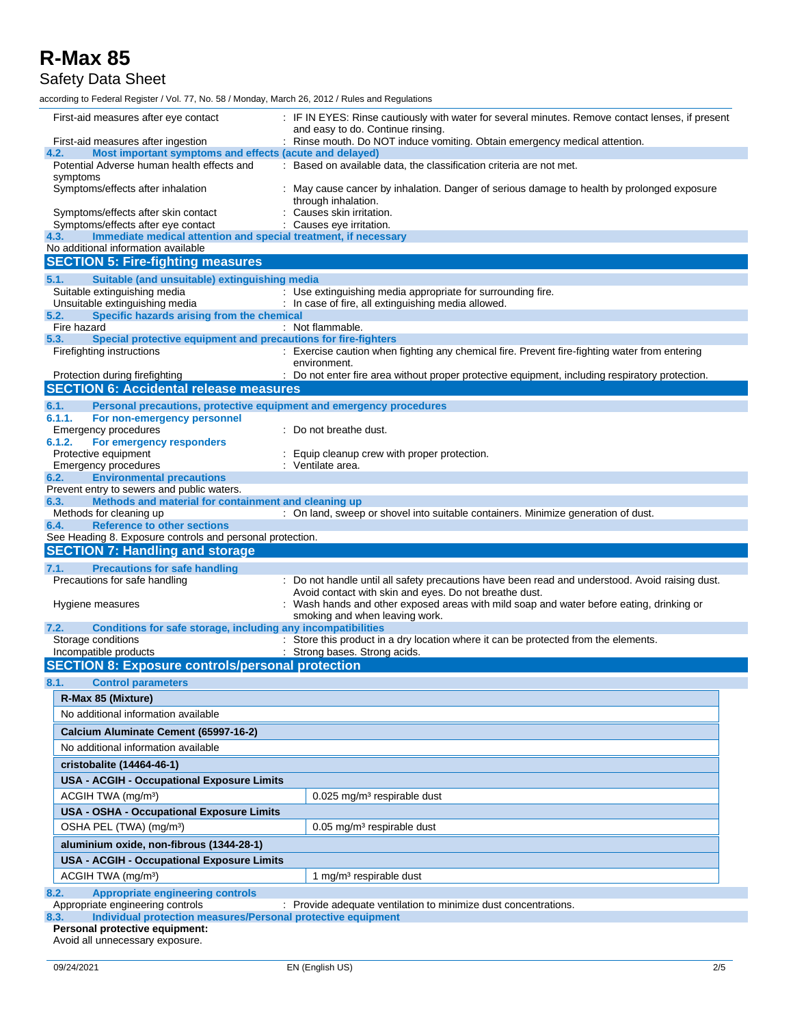#### Safety Data Sheet

according to Federal Register / Vol. 77, No. 58 / Monday, March 26, 2012 / Rules and Regulations

| First-aid measures after eye contact                                                                           | : IF IN EYES: Rinse cautiously with water for several minutes. Remove contact lenses, if present<br>and easy to do. Continue rinsing.                     |  |  |  |
|----------------------------------------------------------------------------------------------------------------|-----------------------------------------------------------------------------------------------------------------------------------------------------------|--|--|--|
| First-aid measures after ingestion                                                                             | : Rinse mouth. Do NOT induce vomiting. Obtain emergency medical attention.                                                                                |  |  |  |
| Most important symptoms and effects (acute and delayed)<br>4.2.<br>Potential Adverse human health effects and  | : Based on available data, the classification criteria are not met.                                                                                       |  |  |  |
| symptoms<br>Symptoms/effects after inhalation                                                                  | : May cause cancer by inhalation. Danger of serious damage to health by prolonged exposure<br>through inhalation.                                         |  |  |  |
| Symptoms/effects after skin contact                                                                            | : Causes skin irritation.                                                                                                                                 |  |  |  |
| Symptoms/effects after eye contact                                                                             | Causes eye irritation.                                                                                                                                    |  |  |  |
| Immediate medical attention and special treatment, if necessary<br>4.3.<br>No additional information available |                                                                                                                                                           |  |  |  |
| <b>SECTION 5: Fire-fighting measures</b>                                                                       |                                                                                                                                                           |  |  |  |
|                                                                                                                |                                                                                                                                                           |  |  |  |
| Suitable (and unsuitable) extinguishing media<br>5.1.<br>Suitable extinguishing media                          | : Use extinguishing media appropriate for surrounding fire.                                                                                               |  |  |  |
| Unsuitable extinguishing media                                                                                 | : In case of fire, all extinguishing media allowed.                                                                                                       |  |  |  |
| Specific hazards arising from the chemical<br>5.2.                                                             |                                                                                                                                                           |  |  |  |
| Fire hazard                                                                                                    | : Not flammable.                                                                                                                                          |  |  |  |
| Special protective equipment and precautions for fire-fighters<br>5.3.<br>Firefighting instructions            | : Exercise caution when fighting any chemical fire. Prevent fire-fighting water from entering<br>environment.                                             |  |  |  |
| Protection during firefighting                                                                                 | : Do not enter fire area without proper protective equipment, including respiratory protection.                                                           |  |  |  |
| <b>SECTION 6: Accidental release measures</b>                                                                  |                                                                                                                                                           |  |  |  |
| 6.1.<br>Personal precautions, protective equipment and emergency procedures                                    |                                                                                                                                                           |  |  |  |
| 6.1.1.<br>For non-emergency personnel                                                                          |                                                                                                                                                           |  |  |  |
| <b>Emergency procedures</b>                                                                                    | : Do not breathe dust.                                                                                                                                    |  |  |  |
| 6.1.2.<br>For emergency responders                                                                             |                                                                                                                                                           |  |  |  |
| Protective equipment<br><b>Emergency procedures</b>                                                            | Equip cleanup crew with proper protection.<br>: Ventilate area.                                                                                           |  |  |  |
| <b>Environmental precautions</b><br>6.2.                                                                       |                                                                                                                                                           |  |  |  |
| Prevent entry to sewers and public waters.                                                                     |                                                                                                                                                           |  |  |  |
| Methods and material for containment and cleaning up<br>6.3.                                                   |                                                                                                                                                           |  |  |  |
| Methods for cleaning up                                                                                        | : On land, sweep or shovel into suitable containers. Minimize generation of dust.                                                                         |  |  |  |
| <b>Reference to other sections</b><br>6.4.                                                                     |                                                                                                                                                           |  |  |  |
| See Heading 8. Exposure controls and personal protection.                                                      |                                                                                                                                                           |  |  |  |
| <b>SECTION 7: Handling and storage</b>                                                                         |                                                                                                                                                           |  |  |  |
| <b>Precautions for safe handling</b><br>7.1.<br>Precautions for safe handling                                  | : Do not handle until all safety precautions have been read and understood. Avoid raising dust.<br>Avoid contact with skin and eyes. Do not breathe dust. |  |  |  |
| Hygiene measures                                                                                               | Wash hands and other exposed areas with mild soap and water before eating, drinking or<br>smoking and when leaving work.                                  |  |  |  |
| Conditions for safe storage, including any incompatibilities<br>7.2.                                           |                                                                                                                                                           |  |  |  |
| Storage conditions<br>Incompatible products                                                                    | : Store this product in a dry location where it can be protected from the elements.<br>: Strong bases. Strong acids.                                      |  |  |  |
| <b>SECTION 8: Exposure controls/personal protection</b>                                                        |                                                                                                                                                           |  |  |  |
|                                                                                                                |                                                                                                                                                           |  |  |  |
| 8.1.<br><b>Control parameters</b>                                                                              |                                                                                                                                                           |  |  |  |
| R-Max 85 (Mixture)                                                                                             |                                                                                                                                                           |  |  |  |
| No additional information available                                                                            |                                                                                                                                                           |  |  |  |
| Calcium Aluminate Cement (65997-16-2)                                                                          |                                                                                                                                                           |  |  |  |
| No additional information available                                                                            |                                                                                                                                                           |  |  |  |
| cristobalite (14464-46-1)                                                                                      |                                                                                                                                                           |  |  |  |
| <b>USA - ACGIH - Occupational Exposure Limits</b>                                                              |                                                                                                                                                           |  |  |  |
| ACGIH TWA (mg/m <sup>3</sup> )                                                                                 | 0.025 mg/m <sup>3</sup> respirable dust                                                                                                                   |  |  |  |
|                                                                                                                |                                                                                                                                                           |  |  |  |
| USA - OSHA - Occupational Exposure Limits                                                                      |                                                                                                                                                           |  |  |  |
| OSHA PEL (TWA) (mg/m <sup>3</sup> )                                                                            | 0.05 mg/m <sup>3</sup> respirable dust                                                                                                                    |  |  |  |
| aluminium oxide, non-fibrous (1344-28-1)                                                                       |                                                                                                                                                           |  |  |  |
| <b>USA - ACGIH - Occupational Exposure Limits</b>                                                              |                                                                                                                                                           |  |  |  |
| ACGIH TWA (mg/m <sup>3</sup> )                                                                                 | 1 mg/m <sup>3</sup> respirable dust                                                                                                                       |  |  |  |
| 8.2.<br><b>Appropriate engineering controls</b>                                                                |                                                                                                                                                           |  |  |  |
| Appropriate engineering controls                                                                               | : Provide adequate ventilation to minimize dust concentrations.                                                                                           |  |  |  |
| Individual protection measures/Personal protective equipment<br>8.3.<br>Personal protective equipment:         |                                                                                                                                                           |  |  |  |

Avoid all unnecessary exposure.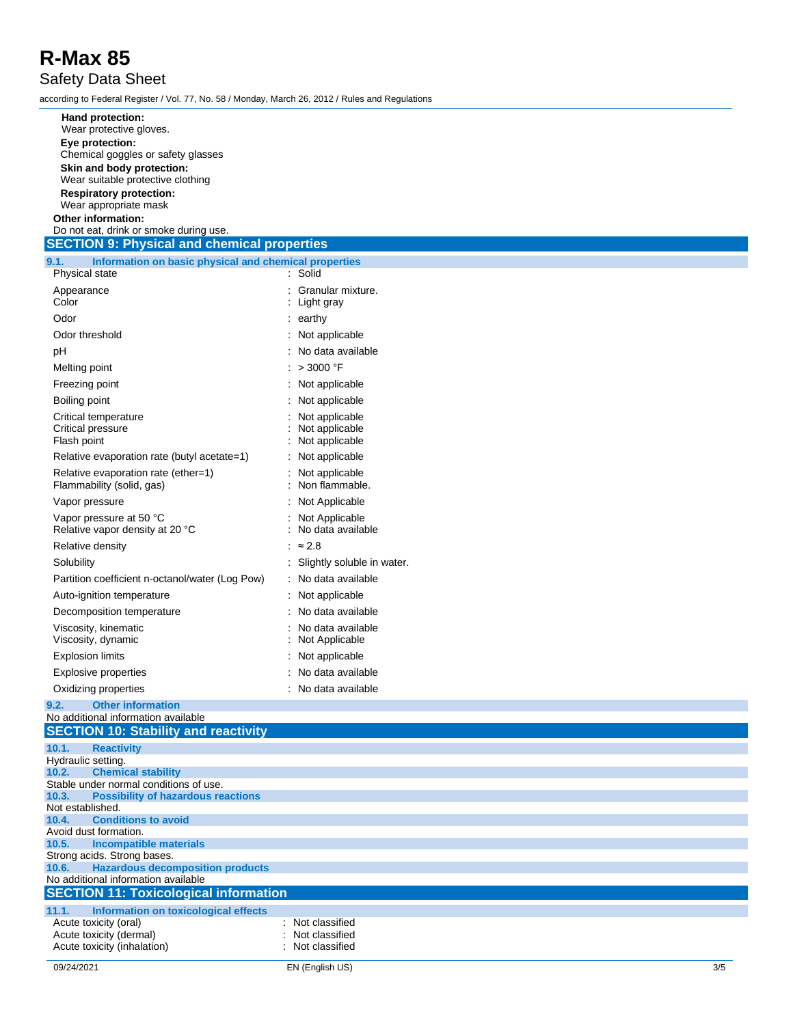#### Safety Data Sheet

according to Federal Register / Vol. 77, No. 58 / Monday, March 26, 2012 / Rules and Regulations

| Hand protection:                                                                        |                            |
|-----------------------------------------------------------------------------------------|----------------------------|
| Wear protective gloves.                                                                 |                            |
| Eye protection:                                                                         |                            |
| Chemical goggles or safety glasses                                                      |                            |
| Skin and body protection:                                                               |                            |
| Wear suitable protective clothing                                                       |                            |
| <b>Respiratory protection:</b>                                                          |                            |
| Wear appropriate mask<br>Other information:                                             |                            |
| Do not eat, drink or smoke during use.                                                  |                            |
| <b>SECTION 9: Physical and chemical properties</b>                                      |                            |
| 9.1.<br>Information on basic physical and chemical properties                           |                            |
| Physical state                                                                          | : Solid                    |
| Appearance                                                                              | Granular mixture.          |
| Color                                                                                   | : Light gray               |
| Odor                                                                                    | $:$ earthy                 |
| Odor threshold                                                                          | : Not applicable           |
| pH                                                                                      | No data available          |
| Melting point                                                                           | $>$ 3000 °F                |
| Freezing point                                                                          | Not applicable             |
| Boiling point                                                                           | Not applicable             |
| Critical temperature                                                                    | Not applicable             |
| Critical pressure                                                                       | Not applicable             |
| Flash point                                                                             | Not applicable             |
| Relative evaporation rate (butyl acetate=1)                                             | Not applicable             |
| Relative evaporation rate (ether=1)                                                     | Not applicable             |
| Flammability (solid, gas)                                                               | Non flammable.             |
| Vapor pressure                                                                          | Not Applicable             |
| Vapor pressure at 50 °C                                                                 | Not Applicable             |
| Relative vapor density at 20 °C                                                         | No data available          |
| Relative density                                                                        | $\approx$ 2.8              |
| Solubility                                                                              | Slightly soluble in water. |
| Partition coefficient n-octanol/water (Log Pow)                                         | No data available          |
| Auto-ignition temperature                                                               | Not applicable             |
| Decomposition temperature                                                               | No data available          |
| Viscosity, kinematic                                                                    | No data available          |
| Viscosity, dynamic                                                                      | Not Applicable             |
| <b>Explosion limits</b>                                                                 | Not applicable             |
| <b>Explosive properties</b>                                                             | : No data available        |
| Oxidizing properties                                                                    | No data available          |
| <b>Other information</b><br>9.2.                                                        |                            |
| No additional information available                                                     |                            |
| <b>SECTION 10: Stability and reactivity</b>                                             |                            |
| 10.1.<br><b>Reactivity</b>                                                              |                            |
| Hydraulic setting.<br>10.2.<br><b>Chemical stability</b>                                |                            |
| Stable under normal conditions of use.                                                  |                            |
| <b>Possibility of hazardous reactions</b><br>10.3.                                      |                            |
| Not established.                                                                        |                            |
| <b>Conditions to avoid</b><br>10.4.<br>Avoid dust formation.                            |                            |
| <b>Incompatible materials</b><br>10.5.                                                  |                            |
| Strong acids. Strong bases.                                                             |                            |
| <b>Hazardous decomposition products</b><br>10.6.<br>No additional information available |                            |
| <b>SECTION 11: Toxicological information</b>                                            |                            |
| 11.1.<br>Information on toxicological effects                                           |                            |
| Acute toxicity (oral)                                                                   | : Not classified           |
| Acute toxicity (dermal)                                                                 | Not classified             |
| Acute toxicity (inhalation)                                                             | Not classified             |

09/24/2021 EN (English US)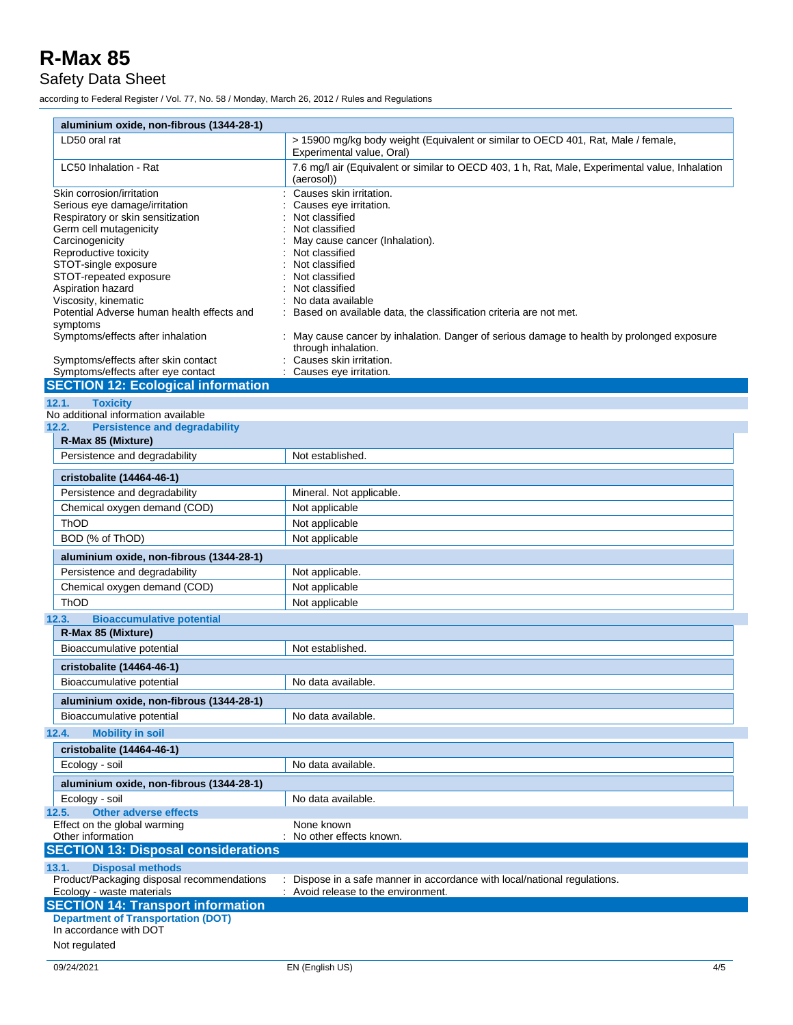Safety Data Sheet

according to Federal Register / Vol. 77, No. 58 / Monday, March 26, 2012 / Rules and Regulations

| aluminium oxide, non-fibrous (1344-28-1)               |                                                                                                                   |
|--------------------------------------------------------|-------------------------------------------------------------------------------------------------------------------|
| LD50 oral rat                                          | > 15900 mg/kg body weight (Equivalent or similar to OECD 401, Rat, Male / female,<br>Experimental value, Oral)    |
| LC50 Inhalation - Rat                                  | 7.6 mg/l air (Equivalent or similar to OECD 403, 1 h, Rat, Male, Experimental value, Inhalation<br>(aerosol))     |
| Skin corrosion/irritation                              | Causes skin irritation.                                                                                           |
| Serious eye damage/irritation                          | Causes eye irritation.                                                                                            |
| Respiratory or skin sensitization                      | Not classified                                                                                                    |
| Germ cell mutagenicity                                 | Not classified                                                                                                    |
| Carcinogenicity                                        | May cause cancer (Inhalation).                                                                                    |
| Reproductive toxicity                                  | Not classified                                                                                                    |
| STOT-single exposure                                   | Not classified                                                                                                    |
| STOT-repeated exposure                                 | Not classified                                                                                                    |
| Aspiration hazard<br>Viscosity, kinematic              | Not classified                                                                                                    |
| Potential Adverse human health effects and<br>symptoms | No data available<br>Based on available data, the classification criteria are not met.                            |
| Symptoms/effects after inhalation                      | : May cause cancer by inhalation. Danger of serious damage to health by prolonged exposure<br>through inhalation. |
| Symptoms/effects after skin contact                    | Causes skin irritation.                                                                                           |
| Symptoms/effects after eye contact                     | Causes eye irritation.                                                                                            |
| <b>SECTION 12: Ecological information</b>              |                                                                                                                   |
| <b>Toxicity</b><br>12.1.                               |                                                                                                                   |
| No additional information available                    |                                                                                                                   |
| 12.2.<br><b>Persistence and degradability</b>          |                                                                                                                   |
| R-Max 85 (Mixture)                                     |                                                                                                                   |
|                                                        |                                                                                                                   |
| Persistence and degradability                          | Not established.                                                                                                  |
| cristobalite (14464-46-1)                              |                                                                                                                   |
| Persistence and degradability                          | Mineral. Not applicable.                                                                                          |
| Chemical oxygen demand (COD)                           | Not applicable                                                                                                    |
| ThOD                                                   | Not applicable                                                                                                    |
|                                                        |                                                                                                                   |
| BOD (% of ThOD)                                        | Not applicable                                                                                                    |
| aluminium oxide, non-fibrous (1344-28-1)               |                                                                                                                   |
| Persistence and degradability                          | Not applicable.                                                                                                   |
| Chemical oxygen demand (COD)                           | Not applicable                                                                                                    |
| ThOD                                                   | Not applicable                                                                                                    |
| 12.3.<br><b>Bioaccumulative potential</b>              |                                                                                                                   |
| R-Max 85 (Mixture)                                     |                                                                                                                   |
| Bioaccumulative potential                              | Not established.                                                                                                  |
| cristobalite (14464-46-1)                              |                                                                                                                   |
| Bioaccumulative potential                              | No data available.                                                                                                |
| aluminium oxide, non-fibrous (1344-28-1)               |                                                                                                                   |
| Bioaccumulative potential                              | No data available.                                                                                                |
| <b>Mobility in soil</b><br>12.4.                       |                                                                                                                   |
| cristobalite (14464-46-1)                              |                                                                                                                   |
| Ecology - soil                                         | No data available.                                                                                                |
| aluminium oxide, non-fibrous (1344-28-1)               |                                                                                                                   |
| Ecology - soil                                         | No data available.                                                                                                |
| <b>Other adverse effects</b><br>12.5.                  |                                                                                                                   |
| Effect on the global warming                           | None known                                                                                                        |
| Other information                                      | No other effects known.                                                                                           |
| <b>SECTION 13: Disposal considerations</b>             |                                                                                                                   |
| 13.1.<br><b>Disposal methods</b>                       |                                                                                                                   |
| Product/Packaging disposal recommendations             | Dispose in a safe manner in accordance with local/national regulations.                                           |
| Ecology - waste materials                              | Avoid release to the environment.                                                                                 |
| <b>SECTION 14: Transport information</b>               |                                                                                                                   |
| <b>Department of Transportation (DOT)</b>              |                                                                                                                   |
| In accordance with DOT                                 |                                                                                                                   |
| Not regulated                                          |                                                                                                                   |
|                                                        |                                                                                                                   |